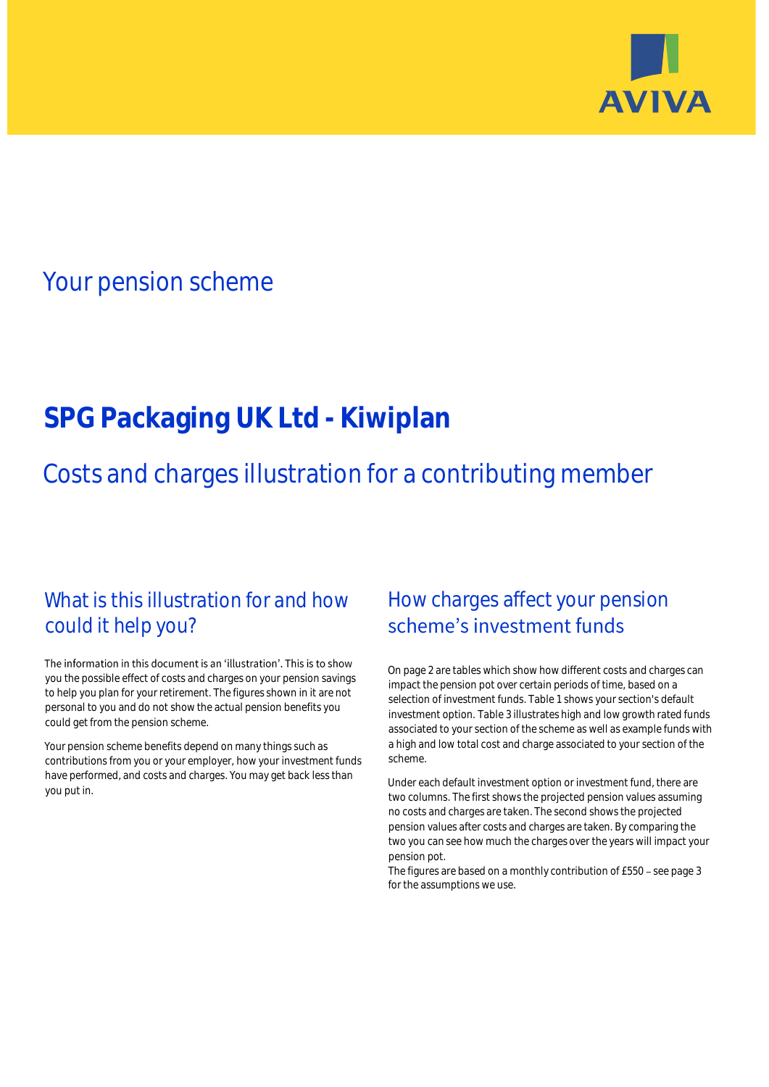

## Your pension scheme

# **SPG Packaging UK Ltd - Kiwiplan**

Costs and charges illustration for a contributing member

### What is this illustration for and how could it help you?

#### The information in this document is an 'illustration'. This is to show you the possible effect of costs and charges on your pension savings to help you plan for your retirement. The figures shown in it are not personal to you and do not show the actual pension benefits you could get from the pension scheme.

Your pension scheme benefits depend on many things such as contributions from you or your employer, how your investment funds have performed, and costs and charges. You may get back less than you put in.

### How charges affect your pension scheme's investment funds

On page 2 are tables which show how different costs and charges can impact the pension pot over certain periods of time, based on a selection of investment funds. Table 1 shows your section's default investment option. Table 3 illustrates high and low growth rated funds associated to your section of the scheme as well as example funds with a high and low total cost and charge associated to your section of the scheme.

Under each default investment option or investment fund, there are two columns. The first shows the projected pension values assuming no costs and charges are taken. The second shows the projected pension values after costs and charges are taken. By comparing the two you can see how much the charges over the years will impact your pension pot.

The figures are based on a monthly contribution of  $£550 -$  see page 3 for the assumptions we use.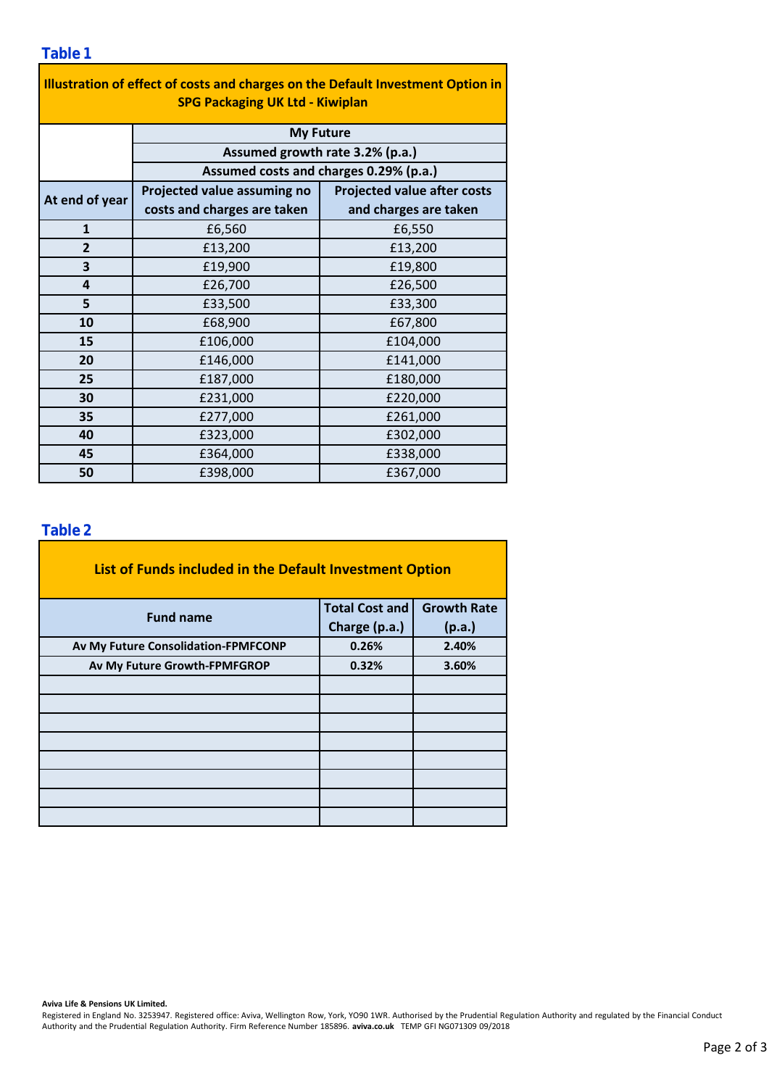#### **Table 1**

| Illustration of effect of costs and charges on the Default Investment Option in |                                                                                               |                                    |  |  |  |  |  |  |  |
|---------------------------------------------------------------------------------|-----------------------------------------------------------------------------------------------|------------------------------------|--|--|--|--|--|--|--|
| <b>SPG Packaging UK Ltd - Kiwiplan</b>                                          |                                                                                               |                                    |  |  |  |  |  |  |  |
|                                                                                 | <b>My Future</b><br>Assumed growth rate 3.2% (p.a.)<br>Assumed costs and charges 0.29% (p.a.) |                                    |  |  |  |  |  |  |  |
|                                                                                 |                                                                                               |                                    |  |  |  |  |  |  |  |
|                                                                                 |                                                                                               |                                    |  |  |  |  |  |  |  |
| At end of year                                                                  | Projected value assuming no                                                                   | <b>Projected value after costs</b> |  |  |  |  |  |  |  |
|                                                                                 | costs and charges are taken                                                                   | and charges are taken              |  |  |  |  |  |  |  |
| $\mathbf{1}$                                                                    | £6,560                                                                                        | £6,550                             |  |  |  |  |  |  |  |
| 2                                                                               | £13,200                                                                                       | £13,200                            |  |  |  |  |  |  |  |
| 3                                                                               | £19,900                                                                                       | £19,800                            |  |  |  |  |  |  |  |
| 4                                                                               | £26,700                                                                                       | £26,500                            |  |  |  |  |  |  |  |
| 5                                                                               | £33,500                                                                                       | £33,300                            |  |  |  |  |  |  |  |
| 10                                                                              | £68,900                                                                                       | £67,800                            |  |  |  |  |  |  |  |
| 15                                                                              | £106,000                                                                                      | £104,000                           |  |  |  |  |  |  |  |
| 20                                                                              | £146,000                                                                                      | £141,000                           |  |  |  |  |  |  |  |
| 25                                                                              | £187,000                                                                                      | £180,000                           |  |  |  |  |  |  |  |
| 30                                                                              | £231,000                                                                                      | £220,000                           |  |  |  |  |  |  |  |
| 35                                                                              | £277,000                                                                                      | £261,000                           |  |  |  |  |  |  |  |
| 40                                                                              | £323,000                                                                                      | £302,000                           |  |  |  |  |  |  |  |
| 45                                                                              | £364,000                                                                                      | £338,000                           |  |  |  |  |  |  |  |
| 50                                                                              | £398,000                                                                                      | £367,000                           |  |  |  |  |  |  |  |

### **Table 2**

| List of Funds included in the Default Investment Option |                       |                    |
|---------------------------------------------------------|-----------------------|--------------------|
| <b>Fund name</b>                                        | <b>Total Cost and</b> | <b>Growth Rate</b> |
|                                                         | Charge (p.a.)         | (p.a.)             |
| Av My Future Consolidation-FPMFCONP                     | 0.26%                 | 2.40%              |
| Av My Future Growth-FPMFGROP                            | 0.32%                 | 3.60%              |
|                                                         |                       |                    |
|                                                         |                       |                    |
|                                                         |                       |                    |
|                                                         |                       |                    |
|                                                         |                       |                    |
|                                                         |                       |                    |
|                                                         |                       |                    |
|                                                         |                       |                    |

**Aviva Life & Pensions UK Limited.**

Registered in England No. 3253947. Registered office: Aviva, Wellington Row, York, YO90 1WR. Authorised by the Prudential Regulation Authority and regulated by the Financial Conduct Authority and the Prudential Regulation Authority. Firm Reference Number 185896. **aviva.co.uk** TEMP GFI NG071309 09/2018